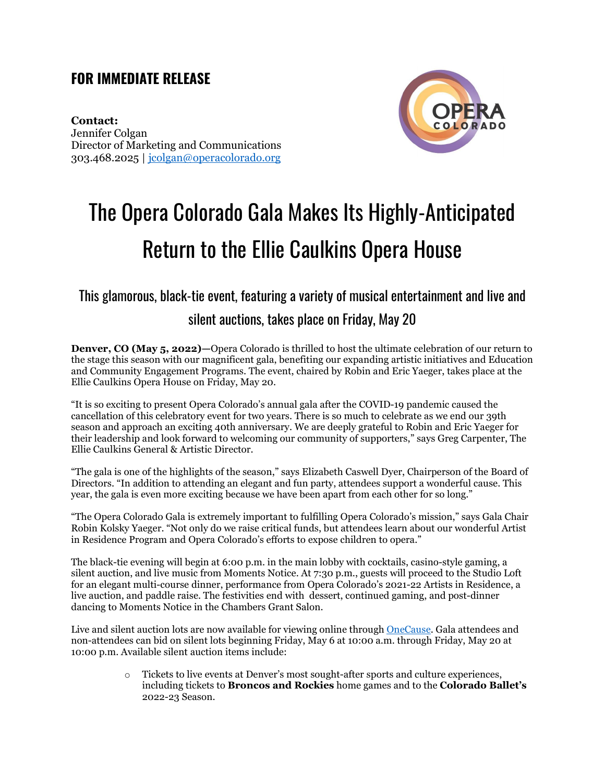### **FOR IMMEDIATE RELEASE**

**Contact:**  Jennifer Colgan Director of Marketing and Communications 303.468.2025 | [jcolgan@operacolorado.org](mailto:jcolgan@operacolorado.org)



# The Opera Colorado Gala Makes Its Highly-Anticipated Return to the Ellie Caulkins Opera House

## This glamorous, black-tie event, featuring a variety of musical entertainment and live and silent auctions, takes place on Friday, May 20

**Denver, CO (May 5, 2022)—**Opera Colorado is thrilled to host the ultimate celebration of our return to the stage this season with our magnificent gala, benefiting our expanding artistic initiatives and Education and Community Engagement Programs. The event, chaired by Robin and Eric Yaeger, takes place at the Ellie Caulkins Opera House on Friday, May 20.

"It is so exciting to present Opera Colorado's annual gala after the COVID-19 pandemic caused the cancellation of this celebratory event for two years. There is so much to celebrate as we end our 39th season and approach an exciting 40th anniversary. We are deeply grateful to Robin and Eric Yaeger for their leadership and look forward to welcoming our community of supporters," says Greg Carpenter, The Ellie Caulkins General & Artistic Director.

"The gala is one of the highlights of the season," says Elizabeth Caswell Dyer, Chairperson of the Board of Directors. "In addition to attending an elegant and fun party, attendees support a wonderful cause. This year, the gala is even more exciting because we have been apart from each other for so long."

"The Opera Colorado Gala is extremely important to fulfilling Opera Colorado's mission," says Gala Chair Robin Kolsky Yaeger. "Not only do we raise critical funds, but attendees learn about our wonderful Artist in Residence Program and Opera Colorado's efforts to expose children to opera."

The black-tie evening will begin at 6:00 p.m. in the main lobby with cocktails, casino-style gaming, a silent auction, and live music from Moments Notice. At 7:30 p.m., guests will proceed to the Studio Loft for an elegant multi-course dinner, performance from Opera Colorado's 2021-22 Artists in Residence, a live auction, and paddle raise. The festivities end with dessert, continued gaming, and post-dinner dancing to Moments Notice in the Chambers Grant Salon.

Live and silent auction lots are now available for viewing online throug[h OneCause.](https://one.bidpal.net/operacoloradogala) Gala attendees and non-attendees can bid on silent lots beginning Friday, May 6 at 10:00 a.m. through Friday, May 20 at 10:00 p.m. Available silent auction items include:

> o Tickets to live events at Denver's most sought-after sports and culture experiences, including tickets to **Broncos and Rockies** home games and to the **Colorado Ballet's** 2022-23 Season.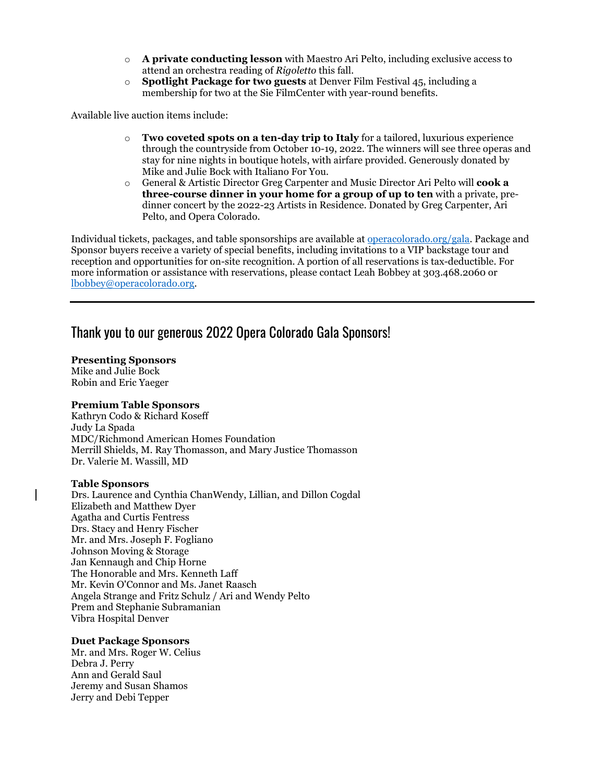- o **A private conducting lesson** with Maestro Ari Pelto, including exclusive access to attend an orchestra reading of *Rigoletto* this fall.
- o **Spotlight Package for two guests** at Denver Film Festival 45, including a membership for two at the Sie FilmCenter with year-round benefits.

Available live auction items include:

- o **Two coveted spots on a ten-day trip to Italy** for a tailored, luxurious experience through the countryside from October 10-19, 2022. The winners will see three operas and stay for nine nights in boutique hotels, with airfare provided. Generously donated by Mike and Julie Bock with Italiano For You.
- o General & Artistic Director Greg Carpenter and Music Director Ari Pelto will **cook a three-course dinner in your home for a group of up to ten** with a private, predinner concert by the 2022-23 Artists in Residence. Donated by Greg Carpenter, Ari Pelto, and Opera Colorado.

Individual tickets, packages, and table sponsorships are available at [operacolorado.org/gala.](https://www.operacolorado.org/support/gala/) Package and Sponsor buyers receive a variety of special benefits, including invitations to a VIP backstage tour and reception and opportunities for on-site recognition. A portion of all reservations is tax-deductible. For more information or assistance with reservations, please contact Leah Bobbey at 303.468.2060 or [lbobbey@operacolorado.org.](mailto:lbobbey@operacolorado.org)

#### Thank you to our generous 2022 Opera Colorado Gala Sponsors!

#### **Presenting Sponsors**

Mike and Julie Bock Robin and Eric Yaeger

#### **Premium Table Sponsors**

Kathryn Codo & Richard Koseff Judy La Spada MDC/Richmond American Homes Foundation Merrill Shields, M. Ray Thomasson, and Mary Justice Thomasson Dr. Valerie M. Wassill, MD

#### **Table Sponsors**

Drs. Laurence and Cynthia ChanWendy, Lillian, and Dillon Cogdal Elizabeth and Matthew Dyer Agatha and Curtis Fentress Drs. Stacy and Henry Fischer Mr. and Mrs. Joseph F. Fogliano Johnson Moving & Storage Jan Kennaugh and Chip Horne The Honorable and Mrs. Kenneth Laff Mr. Kevin O'Connor and Ms. Janet Raasch Angela Strange and Fritz Schulz / Ari and Wendy Pelto Prem and Stephanie Subramanian Vibra Hospital Denver

#### **Duet Package Sponsors**

Mr. and Mrs. Roger W. Celius Debra J. Perry Ann and Gerald Saul Jeremy and Susan Shamos Jerry and Debi Tepper